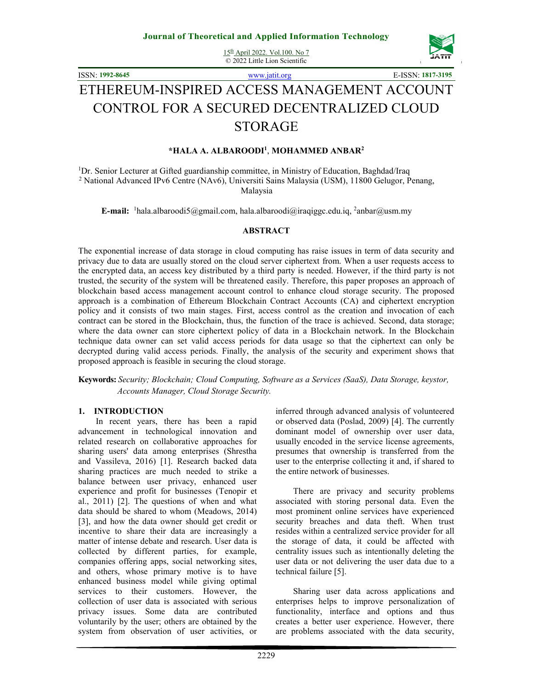15th April 2022. Vol.100. No 7 © 2022 Little Lion Scientific



ISSN: **1992-8645** www.jatit.org E-ISSN: **1817-3195**

# ETHEREUM-INSPIRED ACCESS MANAGEMENT ACCOUNT CONTROL FOR A SECURED DECENTRALIZED CLOUD STORAGE

#### **\*HALA A. ALBAROODI<sup>1</sup>** , **MOHAMMED ANBAR<sup>2</sup>**

<sup>1</sup>Dr. Senior Lecturer at Gifted guardianship committee, in Ministry of Education, Baghdad/Iraq 2 National Advanced IPv6 Centre (NAv6), Universiti Sains Malaysia (USM), 11800 Gelugor, Penang, Malaysia

E-mail: <sup>1</sup>hala.albaroodi5@gmail.com, hala.albaroodi@iraqiggc.edu.iq, <sup>2</sup>anbar@usm.my

#### **ABSTRACT**

The exponential increase of data storage in cloud computing has raise issues in term of data security and privacy due to data are usually stored on the cloud server ciphertext from. When a user requests access to the encrypted data, an access key distributed by a third party is needed. However, if the third party is not trusted, the security of the system will be threatened easily. Therefore, this paper proposes an approach of blockchain based access management account control to enhance cloud storage security. The proposed approach is a combination of Ethereum Blockchain Contract Accounts (CA) and ciphertext encryption policy and it consists of two main stages. First, access control as the creation and invocation of each contract can be stored in the Blockchain, thus, the function of the trace is achieved. Second, data storage; where the data owner can store ciphertext policy of data in a Blockchain network. In the Blockchain technique data owner can set valid access periods for data usage so that the ciphertext can only be decrypted during valid access periods. Finally, the analysis of the security and experiment shows that proposed approach is feasible in securing the cloud storage.

**Keywords:** *Security; Blockchain; Cloud Computing, Software as a Services (SaaS), Data Storage, keystor, Accounts Manager, Cloud Storage Security.*

#### **1. INTRODUCTION**

In recent years, there has been a rapid advancement in technological innovation and related research on collaborative approaches for sharing users' data among enterprises (Shrestha and Vassileva, 2016) [1]. Research backed data sharing practices are much needed to strike a balance between user privacy, enhanced user experience and profit for businesses (Tenopir et al., 2011) [2]. The questions of when and what data should be shared to whom (Meadows, 2014) [3], and how the data owner should get credit or incentive to share their data are increasingly a matter of intense debate and research. User data is collected by different parties, for example, companies offering apps, social networking sites, and others, whose primary motive is to have enhanced business model while giving optimal services to their customers. However, the collection of user data is associated with serious privacy issues. Some data are contributed voluntarily by the user; others are obtained by the system from observation of user activities, or inferred through advanced analysis of volunteered or observed data (Poslad, 2009) [4]. The currently dominant model of ownership over user data, usually encoded in the service license agreements, presumes that ownership is transferred from the user to the enterprise collecting it and, if shared to the entire network of businesses.

There are privacy and security problems associated with storing personal data. Even the most prominent online services have experienced security breaches and data theft. When trust resides within a centralized service provider for all the storage of data, it could be affected with centrality issues such as intentionally deleting the user data or not delivering the user data due to a technical failure [5].

 Sharing user data across applications and enterprises helps to improve personalization of functionality, interface and options and thus creates a better user experience. However, there are problems associated with the data security,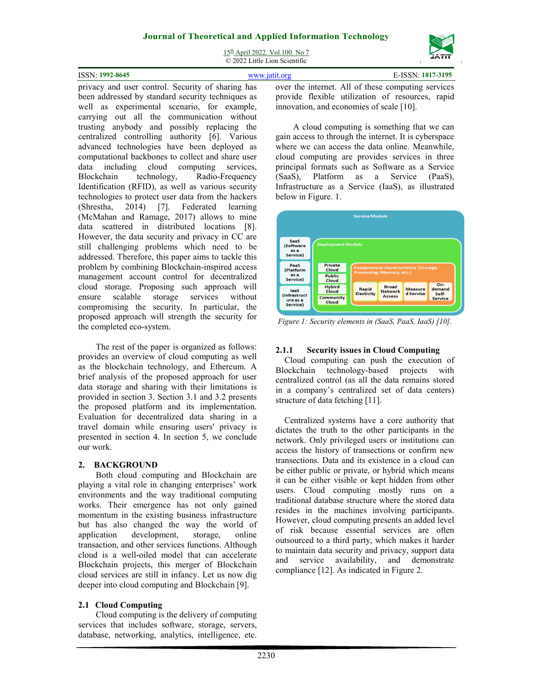15th April 2022. Vol.100. No 7 © 2022 Little Lion Scientific

|                 | $\sim$ 2022 Divite Divit Determine |                   |
|-----------------|------------------------------------|-------------------|
| ISSN: 1992-8645 |                                    | E-ISSN: 1817-3195 |
|                 | $\sim$<br>A 11                     |                   |

privacy and user control. Security of sharing has been addressed by standard security techniques as well as experimental scenario, for example, carrying out all the communication without trusting anybody and possibly replacing the centralized controlling authority [6]. Various advanced technologies have been deployed as computational backbones to collect and share user data including cloud computing services, Blockchain technology, Radio-Frequency Identification (RFID), as well as various security technologies to protect user data from the hackers (Shrestha, 2014) [7]. Federated learning (McMahan and Ramage, 2017) allows to mine data scattered in distributed locations [8]. However, the data security and privacy in CC are still challenging problems which need to be addressed. Therefore, this paper aims to tackle this problem by combining Blockchain-inspired access management account control for decentralized cloud storage. Proposing such approach will ensure scalable storage services without compromising the security. In particular, the proposed approach will strength the security for the completed eco-system.

The rest of the paper is organized as follows: provides an overview of cloud computing as well as the blockchain technology, and Ethereum. A brief analysis of the proposed approach for user data storage and sharing with their limitations is provided in section 3. Section 3.1 and 3.2 presents the proposed platform and its implementation. Evaluation for decentralized data sharing in a travel domain while ensuring users' privacy is presented in section 4. In section 5, we conclude our work.

## **2. BACKGROUND**

Both cloud computing and Blockchain are playing a vital role in changing enterprises' work environments and the way traditional computing works. Their emergence has not only gained momentum in the existing business infrastructure but has also changed the way the world of application development, storage, online transaction, and other services functions. Although cloud is a well-oiled model that can accelerate Blockchain projects, this merger of Blockchain cloud services are still in infancy. Let us now dig deeper into cloud computing and Blockchain [9].

# **2.1 Cloud Computing**

Cloud computing is the delivery of computing services that includes software, storage, servers, database, networking, analytics, intelligence, etc.

over the internet. All of these computing services provide flexible utilization of resources, rapid innovation, and economies of scale [10].

 A cloud computing is something that we can gain access to through the internet. It is cyberspace where we can access the data online. Meanwhile, cloud computing are provides services in three principal formats such as Software as a Service (SaaS), Platform as a Service (PaaS), Infrastructure as a Service (IaaS), as illustrated below in Figure. 1.



*Figure 1: Security elements in (SaaS, PaaS, IaaS) [10].* 

# **2.1.1 Security issues in Cloud Computing**

Cloud computing can push the execution of Blockchain technology-based projects with centralized control (as all the data remains stored in a company's centralized set of data centers) structure of data fetching [11].

Centralized systems have a core authority that dictates the truth to the other participants in the network. Only privileged users or institutions can access the history of transections or confirm new transections. Data and its existence in a cloud can be either public or private, or hybrid which means it can be either visible or kept hidden from other users. Cloud computing mostly runs on a traditional database structure where the stored data resides in the machines involving participants. However, cloud computing presents an added level of risk because essential services are often outsourced to a third party, which makes it harder to maintain data security and privacy, support data and service availability, and demonstrate compliance [12]. As indicated in Figure 2.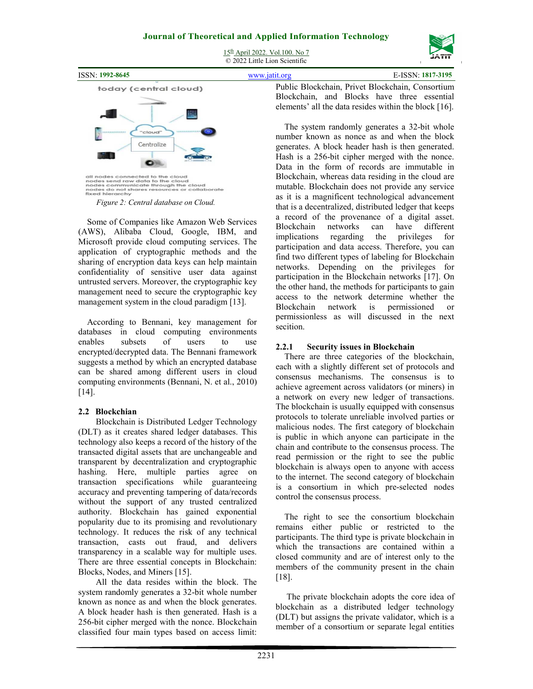



all nodes connected to the cloud<br>nodes send raw data to the cloud<br>nodes communicate through the cloud<br>nodes do not shares resources or collaborate<br>fixed hierarchy

*Figure 2: Central database on Cloud.* 

Some of Companies like Amazon Web Services (AWS), Alibaba Cloud, Google, IBM, and Microsoft provide cloud computing services. The application of cryptographic methods and the sharing of encryption data keys can help maintain confidentiality of sensitive user data against untrusted servers. Moreover, the cryptographic key management need to secure the cryptographic key management system in the cloud paradigm [13].

According to Bennani, key management for databases in cloud computing environments enables subsets of users to use encrypted/decrypted data. The Bennani framework suggests a method by which an encrypted database can be shared among different users in cloud computing environments (Bennani, N. et al., 2010) [14].

# **2.2 Blockchian**

Blockchain is Distributed Ledger Technology (DLT) as it creates shared ledger databases. This technology also keeps a record of the history of the transacted digital assets that are unchangeable and transparent by decentralization and cryptographic hashing. Here, multiple parties agree on transaction specifications while guaranteeing accuracy and preventing tampering of data/records without the support of any trusted centralized authority. Blockchain has gained exponential popularity due to its promising and revolutionary technology. It reduces the risk of any technical transaction, casts out fraud, and delivers transparency in a scalable way for multiple uses. There are three essential concepts in Blockchain: Blocks, Nodes, and Miners [15].

All the data resides within the block. The system randomly generates a 32-bit whole number known as nonce as and when the block generates. A block header hash is then generated. Hash is a 256-bit cipher merged with the nonce. Blockchain classified four main types based on access limit:

Data in the form of records are immutable in Blockchain, whereas data residing in the cloud are mutable. Blockchain does not provide any service as it is a magnificent technological advancement that is a decentralized, distributed ledger that keeps a record of the provenance of a digital asset. Blockchain networks can have different implications regarding the privileges for participation and data access. Therefore, you can find two different types of labeling for Blockchain networks. Depending on the privileges for participation in the Blockchain networks [17]. On the other hand, the methods for participants to gain access to the network determine whether the Blockchain network is permissioned or permissionless as will discussed in the next secition.

# **2.2.1 Security issues in Blockchain**

There are three categories of the blockchain, each with a slightly different set of protocols and consensus mechanisms. The consensus is to achieve agreement across validators (or miners) in a network on every new ledger of transactions. The blockchain is usually equipped with consensus protocols to tolerate unreliable involved parties or malicious nodes. The first category of blockchain is public in which anyone can participate in the chain and contribute to the consensus process. The read permission or the right to see the public blockchain is always open to anyone with access to the internet. The second category of blockchain is a consortium in which pre-selected nodes control the consensus process.

The right to see the consortium blockchain remains either public or restricted to the participants. The third type is private blockchain in which the transactions are contained within a closed community and are of interest only to the members of the community present in the chain [18].

 The private blockchain adopts the core idea of blockchain as a distributed ledger technology (DLT) but assigns the private validator, which is a member of a consortium or separate legal entities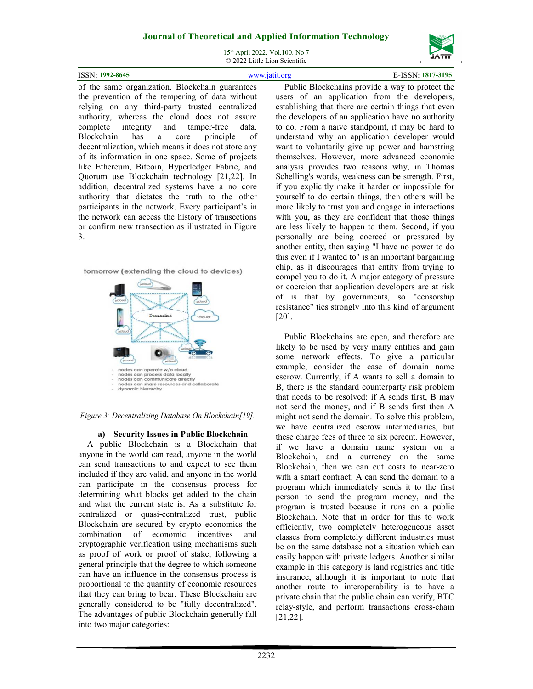15th April 2022. Vol.100. No 7 © 2022 Little Lion Scientific

| ISSN: 1992-8645 |                    |            | 7-3195<br>101/ |
|-----------------|--------------------|------------|----------------|
| $\sim$ $\sim$   | $\sim$ $\sim$<br>. | ---------- |                |

of the same organization. Blockchain guarantees the prevention of the tempering of data without relying on any third-party trusted centralized authority, whereas the cloud does not assure complete integrity and tamper-free data. Blockchain has a core principle of decentralization, which means it does not store any of its information in one space. Some of projects like Ethereum, Bitcoin, Hyperledger Fabric, and Quorum use Blockchain technology [21,22]. In addition, decentralized systems have a no core authority that dictates the truth to the other participants in the network. Every participant's in the network can access the history of transections or confirm new transection as illustrated in Figure 3.





*Figure 3: Decentralizing Database On Blockchain[19].* 

#### **a) Security Issues in Public Blockchain**

A public Blockchain is a Blockchain that anyone in the world can read, anyone in the world can send transactions to and expect to see them included if they are valid, and anyone in the world can participate in the consensus process for determining what blocks get added to the chain and what the current state is. As a substitute for centralized or quasi-centralized trust, public Blockchain are secured by crypto economics the combination of economic incentives and cryptographic verification using mechanisms such as proof of work or proof of stake, following a general principle that the degree to which someone can have an influence in the consensus process is proportional to the quantity of economic resources that they can bring to bear. These Blockchain are generally considered to be "fully decentralized". The advantages of public Blockchain generally fall into two major categories:

Public Blockchains provide a way to protect the users of an application from the developers, establishing that there are certain things that even the developers of an application have no authority to do. From a naive standpoint, it may be hard to understand why an application developer would want to voluntarily give up power and hamstring themselves. However, more advanced economic analysis provides two reasons why, in Thomas Schelling's words, weakness can be strength. First, if you explicitly make it harder or impossible for yourself to do certain things, then others will be more likely to trust you and engage in interactions with you, as they are confident that those things are less likely to happen to them. Second, if you personally are being coerced or pressured by another entity, then saying "I have no power to do this even if I wanted to" is an important bargaining chip, as it discourages that entity from trying to compel you to do it. A major category of pressure or coercion that application developers are at risk of is that by governments, so "censorship resistance" ties strongly into this kind of argument [20].

Public Blockchains are open, and therefore are likely to be used by very many entities and gain some network effects. To give a particular example, consider the case of domain name escrow. Currently, if A wants to sell a domain to B, there is the standard counterparty risk problem that needs to be resolved: if A sends first, B may not send the money, and if B sends first then A might not send the domain. To solve this problem, we have centralized escrow intermediaries, but these charge fees of three to six percent. However, if we have a domain name system on a Blockchain, and a currency on the same Blockchain, then we can cut costs to near-zero with a smart contract: A can send the domain to a program which immediately sends it to the first person to send the program money, and the program is trusted because it runs on a public Blockchain. Note that in order for this to work efficiently, two completely heterogeneous asset classes from completely different industries must be on the same database not a situation which can easily happen with private ledgers. Another similar example in this category is land registries and title insurance, although it is important to note that another route to interoperability is to have a private chain that the public chain can verify, BTC relay-style, and perform transactions cross-chain [21,22].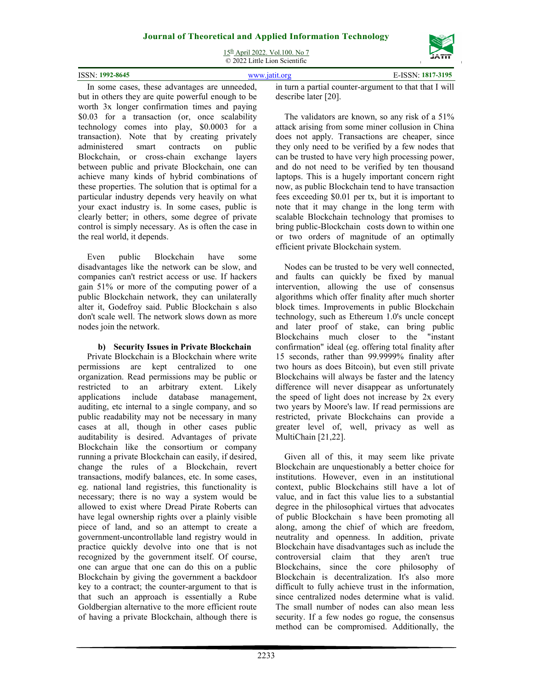15th April 2022. Vol.100. No 7 © 2022 Little Lion Scientific

| $: 1992 - 8645$<br>ISSN: |  |
|--------------------------|--|
|                          |  |

In some cases, these advantages are unneeded, but in others they are quite powerful enough to be worth 3x longer confirmation times and paying \$0.03 for a transaction (or, once scalability technology comes into play, \$0.0003 for a transaction). Note that by creating privately administered smart contracts on public Blockchain, or cross-chain exchange layers between public and private Blockchain, one can achieve many kinds of hybrid combinations of these properties. The solution that is optimal for a particular industry depends very heavily on what your exact industry is. In some cases, public is clearly better; in others, some degree of private control is simply necessary. As is often the case in the real world, it depends.

Even public Blockchain have some disadvantages like the network can be slow, and companies can't restrict access or use. If hackers gain 51% or more of the computing power of a public Blockchain network, they can unilaterally alter it, Godefroy said. Public Blockchain s also don't scale well. The network slows down as more nodes join the network.

### **b) Security Issues in Private Blockchain**

Private Blockchain is a Blockchain where write permissions are kept centralized to one organization. Read permissions may be public or restricted to an arbitrary extent. Likely applications include database management, auditing, etc internal to a single company, and so public readability may not be necessary in many cases at all, though in other cases public auditability is desired. Advantages of private Blockchain like the consortium or company running a private Blockchain can easily, if desired, change the rules of a Blockchain, revert transactions, modify balances, etc. In some cases, eg. national land registries, this functionality is necessary; there is no way a system would be allowed to exist where Dread Pirate Roberts can have legal ownership rights over a plainly visible piece of land, and so an attempt to create a government-uncontrollable land registry would in practice quickly devolve into one that is not recognized by the government itself. Of course, one can argue that one can do this on a public Blockchain by giving the government a backdoor key to a contract; the counter-argument to that is that such an approach is essentially a Rube Goldbergian alternative to the more efficient route of having a private Blockchain, although there is in turn a partial counter-argument to that that I will describe later [20].

The validators are known, so any risk of a 51% attack arising from some miner collusion in China does not apply. Transactions are cheaper, since they only need to be verified by a few nodes that can be trusted to have very high processing power, and do not need to be verified by ten thousand laptops. This is a hugely important concern right now, as public Blockchain tend to have transaction fees exceeding \$0.01 per tx, but it is important to note that it may change in the long term with scalable Blockchain technology that promises to bring public-Blockchain costs down to within one or two orders of magnitude of an optimally efficient private Blockchain system.

Nodes can be trusted to be very well connected, and faults can quickly be fixed by manual intervention, allowing the use of consensus algorithms which offer finality after much shorter block times. Improvements in public Blockchain technology, such as Ethereum 1.0's uncle concept and later proof of stake, can bring public Blockchains much closer to the "instant confirmation" ideal (eg. offering total finality after 15 seconds, rather than 99.9999% finality after two hours as does Bitcoin), but even still private Blockchains will always be faster and the latency difference will never disappear as unfortunately the speed of light does not increase by 2x every two years by Moore's law. If read permissions are restricted, private Blockchains can provide a greater level of, well, privacy as well as MultiChain [21,22].

Given all of this, it may seem like private Blockchain are unquestionably a better choice for institutions. However, even in an institutional context, public Blockchains still have a lot of value, and in fact this value lies to a substantial degree in the philosophical virtues that advocates of public Blockchain s have been promoting all along, among the chief of which are freedom, neutrality and openness. In addition, private Blockchain have disadvantages such as include the controversial claim that they aren't true Blockchains, since the core philosophy of Blockchain is decentralization. It's also more difficult to fully achieve trust in the information, since centralized nodes determine what is valid. The small number of nodes can also mean less security. If a few nodes go rogue, the consensus method can be compromised. Additionally, the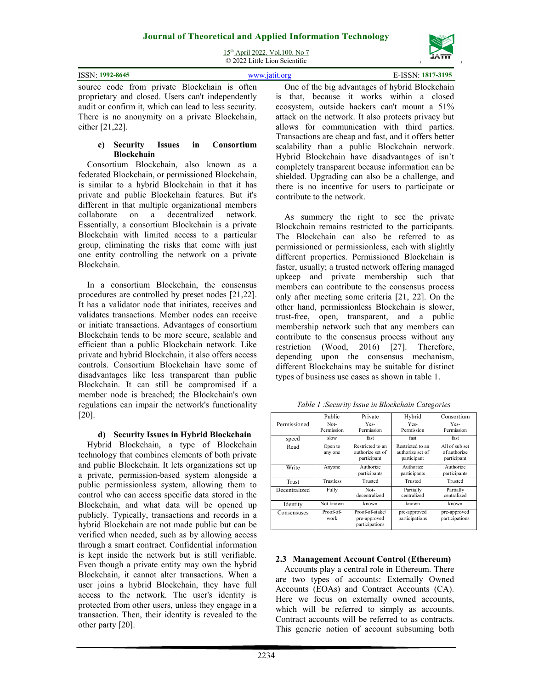15th April 2022. Vol.100. No 7  $\overline{Q}$  2022 Little Lion Scientific

|                                                       | $\sim$ 2022 DRUG DRUG Decretion                |                   |
|-------------------------------------------------------|------------------------------------------------|-------------------|
| <b>ISSN: 1992-8645</b>                                | www.jatit.org                                  | E-ISSN: 1817-3195 |
| source code from private Blockchain is often          | One of the big advantages of hybrid Blockchain |                   |
| proprietary and closed. Users can't independently     | is that, because it works within a closed      |                   |
| audit or confirm it, which can lead to less security. | ecosystem, outside hackers can't mount a 51%   |                   |

There is no anonymity on a private Blockchain, either [21,22].

#### **c) Security Issues in Consortium Blockchain**

Consortium Blockchain, also known as a federated Blockchain, or permissioned Blockchain, is similar to a hybrid Blockchain in that it has private and public Blockchain features. But it's different in that multiple organizational members collaborate on a decentralized network. Essentially, a consortium Blockchain is a private Blockchain with limited access to a particular group, eliminating the risks that come with just one entity controlling the network on a private Blockchain.

In a consortium Blockchain, the consensus procedures are controlled by preset nodes [21,22]. It has a validator node that initiates, receives and validates transactions. Member nodes can receive or initiate transactions. Advantages of consortium Blockchain tends to be more secure, scalable and efficient than a public Blockchain network. Like private and hybrid Blockchain, it also offers access controls. Consortium Blockchain have some of disadvantages like less transparent than public Blockchain. It can still be compromised if a member node is breached; the Blockchain's own regulations can impair the network's functionality [20].

## **d) Security Issues in Hybrid Blockchain**

Hybrid Blockchain, a type of Blockchain technology that combines elements of both private and public Blockchain. It lets organizations set up a private, permission-based system alongside a public permissionless system, allowing them to control who can access specific data stored in the Blockchain, and what data will be opened up publicly. Typically, transactions and records in a hybrid Blockchain are not made public but can be verified when needed, such as by allowing access through a smart contract. Confidential information is kept inside the network but is still verifiable. Even though a private entity may own the hybrid Blockchain, it cannot alter transactions. When a user joins a hybrid Blockchain, they have full access to the network. The user's identity is protected from other users, unless they engage in a transaction. Then, their identity is revealed to the other party [20].

One of the big advantages of hybrid Blockchain is that, because it works within a closed ecosystem, outside hackers can't mount a 51% attack on the network. It also protects privacy but allows for communication with third parties. Transactions are cheap and fast, and it offers better scalability than a public Blockchain network. Hybrid Blockchain have disadvantages of isn't completely transparent because information can be shielded. Upgrading can also be a challenge, and there is no incentive for users to participate or contribute to the network.

As summery the right to see the private Blockchain remains restricted to the participants. The Blockchain can also be referred to as permissioned or permissionless, each with slightly different properties. Permissioned Blockchain is faster, usually; a trusted network offering managed upkeep and private membership such that members can contribute to the consensus process only after meeting some criteria [21, 22]. On the other hand, permissionless Blockchain is slower, trust-free, open, transparent, and a public membership network such that any members can contribute to the consensus process without any restriction (Wood, 2016) [27]. Therefore, depending upon the consensus mechanism, different Blockchains may be suitable for distinct types of business use cases as shown in table 1.

|  | Table 1 :Security Issue in Blockchain Categories |  |
|--|--------------------------------------------------|--|
|  |                                                  |  |

|               | Public             | Private                                             | Hybrid                                              | Consortium                                    |
|---------------|--------------------|-----------------------------------------------------|-----------------------------------------------------|-----------------------------------------------|
| Permissioned  | Not-<br>Permission | Yes-<br>Permission                                  | Yes-<br>Permission                                  | Yes-<br>Permission                            |
| speed         | slow               | fast                                                | fast                                                | fast                                          |
| Read          | Open to<br>any one | Restricted to an<br>authorize set of<br>participant | Restricted to an<br>authorize set of<br>participant | All of sub set<br>of authorize<br>participant |
| Write         | Anyone             | Authorize<br>participants                           | Authorize<br>participants                           | Authorize<br>participants                     |
| Trust         | Trustless          | Trusted                                             | Trusted                                             | Trusted                                       |
| Decentralized | Fully              | Not-<br>decentralized                               | Partially<br>centralized                            | Partially<br>centralized                      |
| Identity      | Not known          | known                                               | known                                               | known                                         |
| Consensuses   | Proof-of-<br>work  | Proof-of-stake/<br>pre-approved<br>participations   | pre-approved<br>participations                      | pre-approved<br>participations                |

# **2.3 Management Account Control (Ethereum)**

Accounts play a central role in Ethereum. There are two types of accounts: Externally Owned Accounts (EOAs) and Contract Accounts (CA). Here we focus on externally owned accounts, which will be referred to simply as accounts. Contract accounts will be referred to as contracts. This generic notion of account subsuming both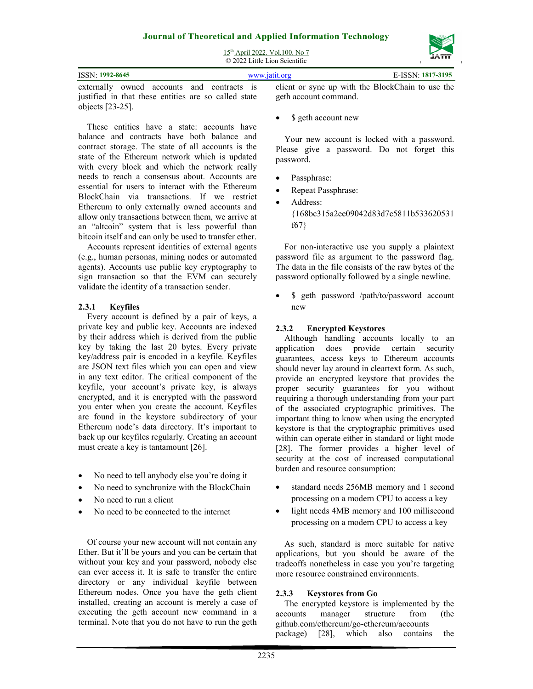# **Journal of Theoretical and Applied Information Technology**  15th April 2022. Vol.100. No 7



|                                                      | © 2022 Little Lion Scientific |                                                  | ------            |
|------------------------------------------------------|-------------------------------|--------------------------------------------------|-------------------|
| ISSN: 1992-8645                                      |                               | www.jatit.org                                    | E-ISSN: 1817-3195 |
| externally owned accounts and contracts is           |                               | client or sync up with the BlockChain to use the |                   |
| justified in that these entities are so called state |                               | geth account command.                            |                   |

These entities have a state: accounts have balance and contracts have both balance and contract storage. The state of all accounts is the state of the Ethereum network which is updated with every block and which the network really needs to reach a consensus about. Accounts are essential for users to interact with the Ethereum BlockChain via transactions. If we restrict Ethereum to only externally owned accounts and allow only transactions between them, we arrive at an "altcoin" system that is less powerful than bitcoin itself and can only be used to transfer ether.

Accounts represent identities of external agents (e.g., human personas, mining nodes or automated agents). Accounts use public key cryptography to sign transaction so that the EVM can securely validate the identity of a transaction sender.

#### **2.3.1 Keyfiles**

objects [23-25].

Every account is defined by a pair of keys, a private key and public key. Accounts are indexed by their address which is derived from the public key by taking the last 20 bytes. Every private key/address pair is encoded in a keyfile. Keyfiles are JSON text files which you can open and view in any text editor. The critical component of the keyfile, your account's private key, is always encrypted, and it is encrypted with the password you enter when you create the account. Keyfiles are found in the keystore subdirectory of your Ethereum node's data directory. It's important to back up our keyfiles regularly. Creating an account must create a key is tantamount [26].

- No need to tell anybody else you're doing it
- No need to synchronize with the BlockChain
- No need to run a client
- No need to be connected to the internet

Of course your new account will not contain any Ether. But it'll be yours and you can be certain that without your key and your password, nobody else can ever access it. It is safe to transfer the entire directory or any individual keyfile between Ethereum nodes. Once you have the geth client installed, creating an account is merely a case of executing the geth account new command in a terminal. Note that you do not have to run the geth \$ geth account new

Your new account is locked with a password. Please give a password. Do not forget this password.

- Passphrase:
- Repeat Passphrase:
- Address: {168bc315a2ee09042d83d7c5811b533620531 f67}

For non-interactive use you supply a plaintext password file as argument to the password flag. The data in the file consists of the raw bytes of the password optionally followed by a single newline.

 \$ geth password /path/to/password account new

#### **2.3.2 Encrypted Keystores**

Although handling accounts locally to an application does provide certain security guarantees, access keys to Ethereum accounts should never lay around in cleartext form. As such, provide an encrypted keystore that provides the proper security guarantees for you without requiring a thorough understanding from your part of the associated cryptographic primitives. The important thing to know when using the encrypted keystore is that the cryptographic primitives used within can operate either in standard or light mode [28]. The former provides a higher level of security at the cost of increased computational burden and resource consumption:

- standard needs 256MB memory and 1 second processing on a modern CPU to access a key
- light needs 4MB memory and 100 millisecond processing on a modern CPU to access a key

As such, standard is more suitable for native applications, but you should be aware of the tradeoffs nonetheless in case you you're targeting more resource constrained environments.

#### **2.3.3 Keystores from Go**

The encrypted keystore is implemented by the accounts manager structure from (the github.com/ethereum/go-ethereum/accounts package) [28], which also contains the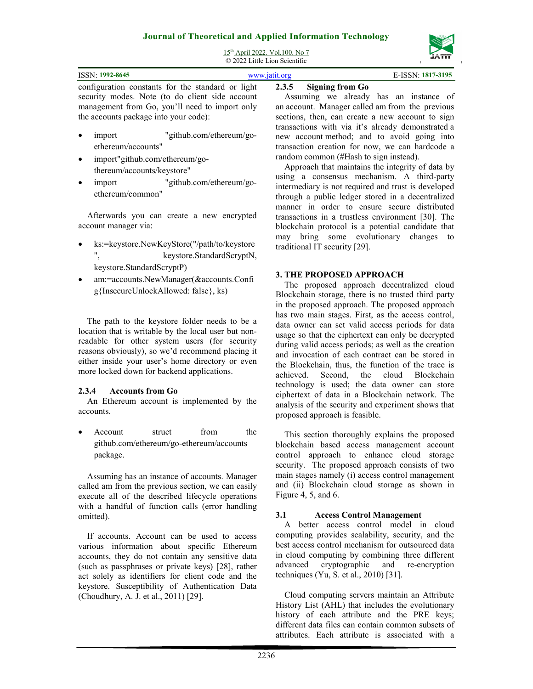

15th April 2022. Vol.100. No 7  $\overline{Q}$  2022 Little Lion Scientific

|                                                   | $\approx$ 2022 Little Libri Scientific |                                        |
|---------------------------------------------------|----------------------------------------|----------------------------------------|
| <b>ISSN: 1992-8645</b>                            | www.jatit.org                          | E-ISSN: 1817-3195                      |
| configuration constants for the standard or light | 2.3.5 Signing from Go                  |                                        |
| security modes. Note (to do client side account   |                                        | Assuming we already has an instance of |

security modes. Note (to do client side account management from Go, you'll need to import only the accounts package into your code):

- import "github.com/ethereum/goethereum/accounts"
- import"github.com/ethereum/gothereum/accounts/keystore"
- import "github.com/ethereum/goethereum/common"

Afterwards you can create a new encrypted account manager via:

- ks:=keystore.NewKeyStore("/path/to/keystore ", keystore.StandardScryptN, keystore.StandardScryptP)
- am:=accounts.NewManager(&accounts.Confi g{InsecureUnlockAllowed: false}, ks)

The path to the keystore folder needs to be a location that is writable by the local user but nonreadable for other system users (for security reasons obviously), so we'd recommend placing it either inside your user's home directory or even more locked down for backend applications.

## **2.3.4 Accounts from Go**

An Ethereum account is implemented by the accounts.

Account struct from the github.com/ethereum/go-ethereum/accounts package.

Assuming has an instance of accounts. Manager called am from the previous section, we can easily execute all of the described lifecycle operations with a handful of function calls (error handling omitted).

If accounts. Account can be used to access various information about specific Ethereum accounts, they do not contain any sensitive data (such as passphrases or private keys) [28], rather act solely as identifiers for client code and the keystore. Susceptibility of Authentication Data (Choudhury, A. J. et al., 2011) [29].

Assuming we already has an instance of an account. Manager called am from the previous sections, then, can create a new account to sign transactions with via it's already demonstrated a new account method; and to avoid going into transaction creation for now, we can hardcode a random common (#Hash to sign instead).

Approach that maintains the integrity of data by using a consensus mechanism. A third-party intermediary is not required and trust is developed through a public ledger stored in a decentralized manner in order to ensure secure distributed transactions in a trustless environment [30]. The blockchain protocol is a potential candidate that may bring some evolutionary changes to traditional IT security [29].

## **3. THE PROPOSED APPROACH**

The proposed approach decentralized cloud Blockchain storage, there is no trusted third party in the proposed approach. The proposed approach has two main stages. First, as the access control, data owner can set valid access periods for data usage so that the ciphertext can only be decrypted during valid access periods; as well as the creation and invocation of each contract can be stored in the Blockchain, thus, the function of the trace is achieved. Second, the cloud Blockchain technology is used; the data owner can store ciphertext of data in a Blockchain network. The analysis of the security and experiment shows that proposed approach is feasible.

This section thoroughly explains the proposed blockchain based access management account control approach to enhance cloud storage security. The proposed approach consists of two main stages namely (i) access control management and (ii) Blockchain cloud storage as shown in Figure 4, 5, and 6.

# **3.1 Access Control Management**

A better access control model in cloud computing provides scalability, security, and the best access control mechanism for outsourced data in cloud computing by combining three different advanced cryptographic and re-encryption techniques (Yu, S. et al., 2010) [31].

Cloud computing servers maintain an Attribute History List (AHL) that includes the evolutionary history of each attribute and the PRE keys; different data files can contain common subsets of attributes. Each attribute is associated with a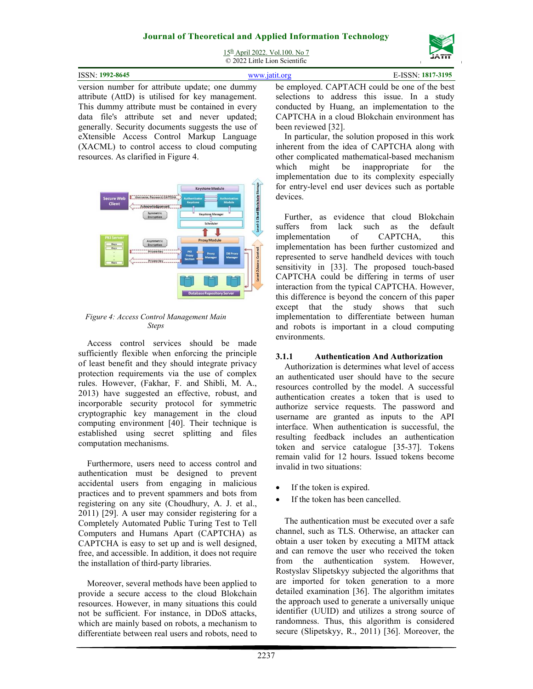

15<sup>th</sup> April 2022. Vol.100. No 7 © 2022 Little Lion Scientific

| ISSN: 1992-8645                                 | E-ISSN: 1817-3195<br>www.jatit.org            |  |
|-------------------------------------------------|-----------------------------------------------|--|
| version number for attribute update; one dummy  | be employed. CAPTACH could be one of the best |  |
| attribute (AttD) is utilised for key management | selections to address this issue. In a study  |  |

attribute (AttD) is utilised for key management. This dummy attribute must be contained in every data file's attribute set and never updated; generally. Security documents suggests the use of eXtensible Access Control Markup Language (XACML) to control access to cloud computing resources. As clarified in Figure 4.



#### *Figure 4: Access Control Management Main Steps*

Access control services should be made sufficiently flexible when enforcing the principle of least benefit and they should integrate privacy protection requirements via the use of complex rules. However, (Fakhar, F. and Shibli, M. A., 2013) have suggested an effective, robust, and incorporable security protocol for symmetric cryptographic key management in the cloud computing environment [40]. Their technique is established using secret splitting and files computation mechanisms.

Furthermore, users need to access control and authentication must be designed to prevent accidental users from engaging in malicious practices and to prevent spammers and bots from registering on any site (Choudhury, A. J. et al., 2011) [29]. A user may consider registering for a Completely Automated Public Turing Test to Tell Computers and Humans Apart (CAPTCHA) as CAPTCHA is easy to set up and is well designed, free, and accessible. In addition, it does not require the installation of third-party libraries.

Moreover, several methods have been applied to provide a secure access to the cloud Blokchain resources. However, in many situations this could not be sufficient. For instance, in DDoS attacks, which are mainly based on robots, a mechanism to differentiate between real users and robots, need to selections to address this issue. In a study conducted by Huang, an implementation to the CAPTCHA in a cloud Blokchain environment has been reviewed [32].

In particular, the solution proposed in this work inherent from the idea of CAPTCHA along with other complicated mathematical-based mechanism which might be inappropriate for the implementation due to its complexity especially for entry-level end user devices such as portable devices.

Further, as evidence that cloud Blokchain suffers from lack such as the default implementation of CAPTCHA, this implementation has been further customized and represented to serve handheld devices with touch sensitivity in [33]. The proposed touch-based CAPTCHA could be differing in terms of user interaction from the typical CAPTCHA. However, this difference is beyond the concern of this paper except that the study shows that such implementation to differentiate between human and robots is important in a cloud computing environments.

## **3.1.1 Authentication And Authorization**

Authorization is determines what level of access an authenticated user should have to the secure resources controlled by the model. A successful authentication creates a token that is used to authorize service requests. The password and username are granted as inputs to the API interface. When authentication is successful, the resulting feedback includes an authentication token and service catalogue [35-37]. Tokens remain valid for 12 hours. Issued tokens become invalid in two situations:

- If the token is expired.
- If the token has been cancelled.

The authentication must be executed over a safe channel, such as TLS. Otherwise, an attacker can obtain a user token by executing a MITM attack and can remove the user who received the token from the authentication system. However, Rostyslav Slipetskyy subjected the algorithms that are imported for token generation to a more detailed examination [36]. The algorithm imitates the approach used to generate a universally unique identifier (UUID) and utilizes a strong source of randomness. Thus, this algorithm is considered secure (Slipetskyy, R., 2011) [36]. Moreover, the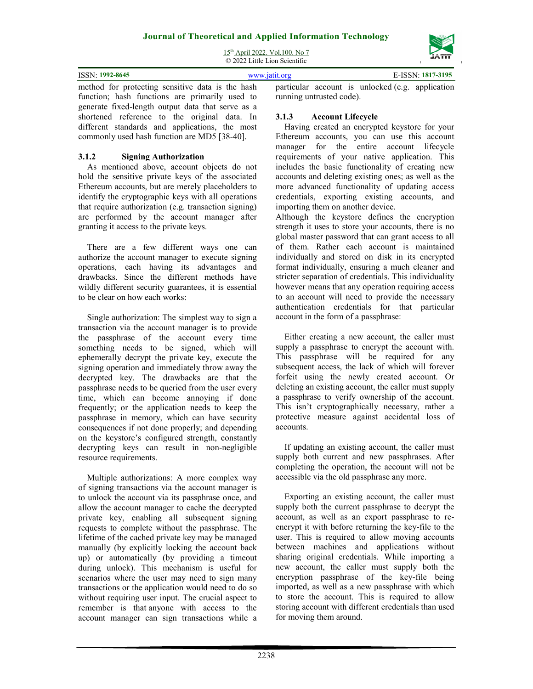15th April 2022. Vol.100. No 7 © 2022 Little Lion Scientific

| ISSN: 1992-8645                                                                                                                                                                                                                                                                                                                                                                                                        | www.jatit.org |  | E-ISSN: 1817-3195 |
|------------------------------------------------------------------------------------------------------------------------------------------------------------------------------------------------------------------------------------------------------------------------------------------------------------------------------------------------------------------------------------------------------------------------|---------------|--|-------------------|
| method for protecting sensitive data is the hash particular account is unlocked (e.g. application<br>$\mathcal{C}$ and $\mathcal{C}$ and $\mathcal{C}$ and $\mathcal{C}$ and $\mathcal{C}$ and $\mathcal{C}$ and $\mathcal{C}$ and $\mathcal{C}$ and $\mathcal{C}$ and $\mathcal{C}$ and $\mathcal{C}$ and $\mathcal{C}$ and $\mathcal{C}$ and $\mathcal{C}$ and $\mathcal{C}$ and $\mathcal{C}$ and $\mathcal{C}$ and |               |  |                   |

function; hash functions are primarily used to generate fixed-length output data that serve as a shortened reference to the original data. In different standards and applications, the most commonly used hash function are MD5 [38-40].

## **3.1.2 Signing Authorization**

As mentioned above, account objects do not hold the sensitive private keys of the associated Ethereum accounts, but are merely placeholders to identify the cryptographic keys with all operations that require authorization (e.g. transaction signing) are performed by the account manager after granting it access to the private keys.

There are a few different ways one can authorize the account manager to execute signing operations, each having its advantages and drawbacks. Since the different methods have wildly different security guarantees, it is essential to be clear on how each works:

Single authorization: The simplest way to sign a transaction via the account manager is to provide the passphrase of the account every time something needs to be signed, which will ephemerally decrypt the private key, execute the signing operation and immediately throw away the decrypted key. The drawbacks are that the passphrase needs to be queried from the user every time, which can become annoying if done frequently; or the application needs to keep the passphrase in memory, which can have security consequences if not done properly; and depending on the keystore's configured strength, constantly decrypting keys can result in non-negligible resource requirements.

Multiple authorizations: A more complex way of signing transactions via the account manager is to unlock the account via its passphrase once, and allow the account manager to cache the decrypted private key, enabling all subsequent signing requests to complete without the passphrase. The lifetime of the cached private key may be managed manually (by explicitly locking the account back up) or automatically (by providing a timeout during unlock). This mechanism is useful for scenarios where the user may need to sign many transactions or the application would need to do so without requiring user input. The crucial aspect to remember is that anyone with access to the account manager can sign transactions while a running untrusted code).

# **3.1.3 Account Lifecycle**

Having created an encrypted keystore for your Ethereum accounts, you can use this account manager for the entire account lifecycle requirements of your native application. This includes the basic functionality of creating new accounts and deleting existing ones; as well as the more advanced functionality of updating access credentials, exporting existing accounts, and importing them on another device.

Although the keystore defines the encryption strength it uses to store your accounts, there is no global master password that can grant access to all of them. Rather each account is maintained individually and stored on disk in its encrypted format individually, ensuring a much cleaner and stricter separation of credentials. This individuality however means that any operation requiring access to an account will need to provide the necessary authentication credentials for that particular account in the form of a passphrase:

Either creating a new account, the caller must supply a passphrase to encrypt the account with. This passphrase will be required for any subsequent access, the lack of which will forever forfeit using the newly created account. Or deleting an existing account, the caller must supply a passphrase to verify ownership of the account. This isn't cryptographically necessary, rather a protective measure against accidental loss of accounts.

If updating an existing account, the caller must supply both current and new passphrases. After completing the operation, the account will not be accessible via the old passphrase any more.

Exporting an existing account, the caller must supply both the current passphrase to decrypt the account, as well as an export passphrase to reencrypt it with before returning the key-file to the user. This is required to allow moving accounts between machines and applications without sharing original credentials. While importing a new account, the caller must supply both the encryption passphrase of the key-file being imported, as well as a new passphrase with which to store the account. This is required to allow storing account with different credentials than used for moving them around.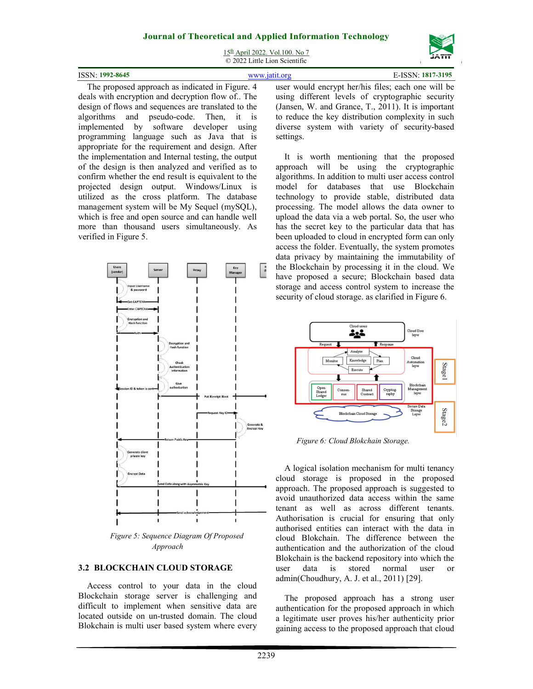

15th April 2022. Vol.100. No 7 © 2022 Little Lion Scientific

| 100<br>-8645<br><b>ICC</b><br>N | ---<br>105<br>. |
|---------------------------------|-----------------|
|                                 |                 |

The proposed approach as indicated in Figure. 4 deals with encryption and decryption flow of.. The design of flows and sequences are translated to the algorithms and pseudo-code. Then, it is implemented by software developer using programming language such as Java that is appropriate for the requirement and design. After the implementation and Internal testing, the output of the design is then analyzed and verified as to confirm whether the end result is equivalent to the projected design output. Windows/Linux is utilized as the cross platform. The database management system will be My Sequel (mySQL), which is free and open source and can handle well more than thousand users simultaneously. As verified in Figure 5.



*Figure 5: Sequence Diagram Of Proposed Approach* 

#### **3.2 BLOCKCHAIN CLOUD STORAGE**

Access control to your data in the cloud Blockchain storage server is challenging and difficult to implement when sensitive data are located outside on un-trusted domain. The cloud Blokchain is multi user based system where every user would encrypt her/his files; each one will be using different levels of cryptographic security (Jansen, W. and Grance, T., 2011). It is important to reduce the key distribution complexity in such diverse system with variety of security-based settings.

It is worth mentioning that the proposed approach will be using the cryptographic algorithms. In addition to multi user access control model for databases that use Blockchain technology to provide stable, distributed data processing. The model allows the data owner to upload the data via a web portal. So, the user who has the secret key to the particular data that has been uploaded to cloud in encrypted form can only access the folder. Eventually, the system promotes data privacy by maintaining the immutability of the Blockchain by processing it in the cloud. We have proposed a secure; Blockchain based data storage and access control system to increase the security of cloud storage. as clarified in Figure 6.



*Figure 6: Cloud Blokchain Storage.*

A logical isolation mechanism for multi tenancy cloud storage is proposed in the proposed approach. The proposed approach is suggested to avoid unauthorized data access within the same tenant as well as across different tenants. Authorisation is crucial for ensuring that only authorised entities can interact with the data in cloud Blokchain. The difference between the authentication and the authorization of the cloud Blokchain is the backend repository into which the user data is stored normal user or admin(Choudhury, A. J. et al., 2011) [29].

The proposed approach has a strong user authentication for the proposed approach in which a legitimate user proves his/her authenticity prior gaining access to the proposed approach that cloud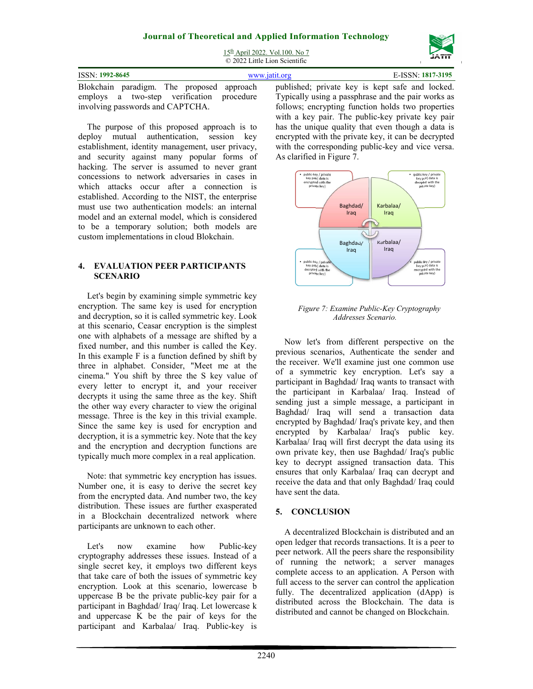

| 15 <sup>th</sup> April 2022. Vol.100. No 7 |
|--------------------------------------------|
| © 2022 Little Lion Scientific              |

| ISSN: 1992-8645                           | www.jatit.org |                                                    | E-ISSN: 1817-3195 |  |  |
|-------------------------------------------|---------------|----------------------------------------------------|-------------------|--|--|
| Blokchain paradigm. The proposed approach |               | published; private key is kept safe and locked.    |                   |  |  |
| employs a two-step verification procedure |               | Typically using a passphrase and the pair works as |                   |  |  |
| involving passwords and CAPTCHA.          |               | follows; encrypting function holds two properties  |                   |  |  |

The purpose of this proposed approach is to deploy mutual authentication, session key establishment, identity management, user privacy, and security against many popular forms of hacking. The server is assumed to never grant concessions to network adversaries in cases in which attacks occur after a connection is established. According to the NIST, the enterprise must use two authentication models: an internal model and an external model, which is considered to be a temporary solution; both models are custom implementations in cloud Blokchain.

#### **4. EVALUATION PEER PARTICIPANTS SCENARIO**

Let's begin by examining simple symmetric key encryption. The same key is used for encryption and decryption, so it is called symmetric key. Look at this scenario, Ceasar encryption is the simplest one with alphabets of a message are shifted by a fixed number, and this number is called the Key. In this example F is a function defined by shift by three in alphabet. Consider, "Meet me at the cinema." You shift by three the S key value of every letter to encrypt it, and your receiver decrypts it using the same three as the key. Shift the other way every character to view the original message. Three is the key in this trivial example. Since the same key is used for encryption and decryption, it is a symmetric key. Note that the key and the encryption and decryption functions are typically much more complex in a real application.

Note: that symmetric key encryption has issues. Number one, it is easy to derive the secret key from the encrypted data. And number two, the key distribution. These issues are further exasperated in a Blockchain decentralized network where participants are unknown to each other.

Let's now examine how Public-key cryptography addresses these issues. Instead of a single secret key, it employs two different keys that take care of both the issues of symmetric key encryption. Look at this scenario, lowercase b uppercase B be the private public-key pair for a participant in Baghdad/ Iraq/ Iraq. Let lowercase k and uppercase K be the pair of keys for the participant and Karbalaa/ Iraq. Public-key is

follows; encrypting function holds two properties with a key pair. The public-key private key pair has the unique quality that even though a data is encrypted with the private key, it can be decrypted with the corresponding public-key and vice versa. As clarified in Figure 7.



#### *Figure 7: Examine Public-Key Cryptography Addresses Scenario.*

Now let's from different perspective on the previous scenarios, Authenticate the sender and the receiver. We'll examine just one common use of a symmetric key encryption. Let's say a participant in Baghdad/ Iraq wants to transact with the participant in Karbalaa/ Iraq. Instead of sending just a simple message, a participant in Baghdad/ Iraq will send a transaction data encrypted by Baghdad/ Iraq's private key, and then encrypted by Karbalaa/ Iraq's public key. Karbalaa/ Iraq will first decrypt the data using its own private key, then use Baghdad/ Iraq's public key to decrypt assigned transaction data. This ensures that only Karbalaa/ Iraq can decrypt and receive the data and that only Baghdad/ Iraq could have sent the data.

## **5. CONCLUSION**

A decentralized Blockchain is distributed and an open ledger that records transactions. It is a peer to peer network. All the peers share the responsibility of running the network; a server manages complete access to an application. A Person with full access to the server can control the application fully. The decentralized application (dApp) is distributed across the Blockchain. The data is distributed and cannot be changed on Blockchain.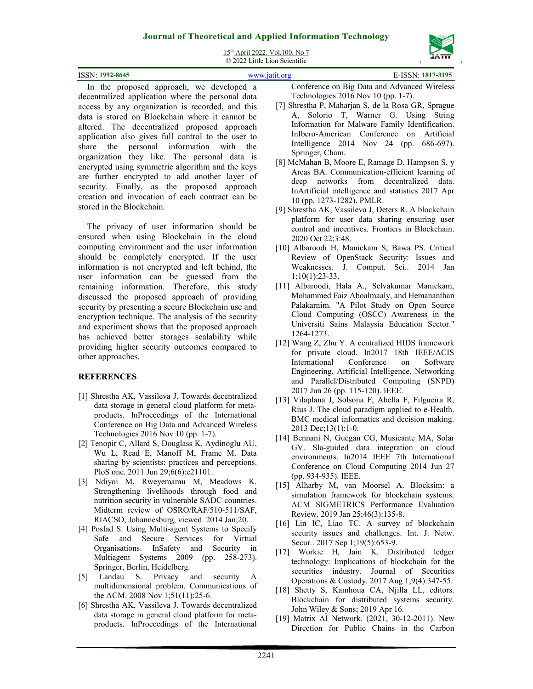

15th April 2022. Vol.100. No 7 © 2022 Little Lion Scientific

| ISSN: 1992-8645 |  |  |        |                |   | E-ISSN: 1817-3195 |
|-----------------|--|--|--------|----------------|---|-------------------|
|                 |  |  | $\sim$ | $\mathbf{r}$ . | . | 1.777             |

In the proposed approach, we developed a decentralized application where the personal data access by any organization is recorded, and this data is stored on Blockchain where it cannot be altered. The decentralized proposed approach application also gives full control to the user to share the personal information with the organization they like. The personal data is encrypted using symmetric algorithm and the keys are further encrypted to add another layer of security. Finally, as the proposed approach creation and invocation of each contract can be stored in the Blockchain.

The privacy of user information should be ensured when using Blockchain in the cloud computing environment and the user information should be completely encrypted. If the user information is not encrypted and left behind, the user information can be guessed from the remaining information. Therefore, this study discussed the proposed approach of providing security by presenting a secure Blockchain use and encryption technique. The analysis of the security and experiment shows that the proposed approach has achieved better storages scalability while providing higher security outcomes compared to other approaches.

#### **REFERENCES**

- [1] Shrestha AK, Vassileva J. Towards decentralized data storage in general cloud platform for metaproducts. InProceedings of the International Conference on Big Data and Advanced Wireless Technologies 2016 Nov 10 (pp. 1-7).
- [2] Tenopir C, Allard S, Douglass K, Aydinoglu AU, Wu L, Read E, Manoff M, Frame M. Data sharing by scientists: practices and perceptions. PloS one. 2011 Jun 29;6(6):e21101.
- [3] Ndiyoi M, Rweyemamu M, Meadows K. Strengthening livelihoods through food and nutrition security in vulnerable SADC countries. Midterm review of OSRO/RAF/510-511/SAF, RIACSO, Johannesburg, viewed. 2014 Jan;20.
- [4] Poslad S. Using Multi-agent Systems to Specify Safe and Secure Services for Virtual Organisations. InSafety and Security in Multiagent Systems 2009 (pp. 258-273). Springer, Berlin, Heidelberg.
- [5] Landau S. Privacy and security A multidimensional problem. Communications of the ACM. 2008 Nov 1;51(11):25-6.
- [6] Shrestha AK, Vassileva J. Towards decentralized data storage in general cloud platform for metaproducts. InProceedings of the International

Conference on Big Data and Advanced Wireless Technologies 2016 Nov 10 (pp. 1-7).

- [7] Shrestha P, Maharjan S, de la Rosa GR, Sprague A, Solorio T, Warner G. Using String Information for Malware Family Identification. InIbero-American Conference on Artificial Intelligence 2014 Nov 24 (pp. 686-697). Springer, Cham.
- [8] McMahan B, Moore E, Ramage D, Hampson S, y Arcas BA. Communication-efficient learning of deep networks from decentralized data. InArtificial intelligence and statistics 2017 Apr 10 (pp. 1273-1282). PMLR.
- [9] Shrestha AK, Vassileva J, Deters R. A blockchain platform for user data sharing ensuring user control and incentives. Frontiers in Blockchain. 2020 Oct 22;3:48.
- [10] Albaroodi H, Manickam S, Bawa PS. Critical Review of OpenStack Security: Issues and Weaknesses. J. Comput. Sci.. 2014 Jan 1;10(1):23-33.
- [11] Albaroodi, Hala A., Selvakumar Manickam, Mohammed Faiz Aboalmaaly, and Hemananthan Palakarnim. "A Pilot Study on Open Source Cloud Computing (OSCC) Awareness in the Universiti Sains Malaysia Education Sector." 1264-1273.
- [12] Wang Z, Zhu Y. A centralized HIDS framework for private cloud. In2017 18th IEEE/ACIS International Conference on Software Engineering, Artificial Intelligence, Networking and Parallel/Distributed Computing (SNPD) 2017 Jun 26 (pp. 115-120). IEEE.
- [13] Vilaplana J, Solsona F, Abella F, Filgueira R, Rius J. The cloud paradigm applied to e-Health. BMC medical informatics and decision making. 2013 Dec;13(1):1-0.
- [14] Bennani N, Guegan CG, Musicante MA, Solar GV. Sla-guided data integration on cloud environments. In2014 IEEE 7th International Conference on Cloud Computing 2014 Jun 27 (pp. 934-935). IEEE.
- [15] Alharby M, van Moorsel A. Blocksim: a simulation framework for blockchain systems. ACM SIGMETRICS Performance Evaluation Review. 2019 Jan 25;46(3):135-8.
- [16] Lin IC, Liao TC. A survey of blockchain security issues and challenges. Int. J. Netw. Secur.. 2017 Sep 1;19(5):653-9.
- [17] Workie H, Jain K. Distributed ledger technology: Implications of blockchain for the securities industry. Journal of Securities Operations & Custody. 2017 Aug 1;9(4):347-55.
- [18] Shetty S, Kamhoua CA, Njilla LL, editors. Blockchain for distributed systems security. John Wiley & Sons; 2019 Apr 16.
- [19] Matrix AI Network. (2021, 30-12-2011). New Direction for Public Chains in the Carbon